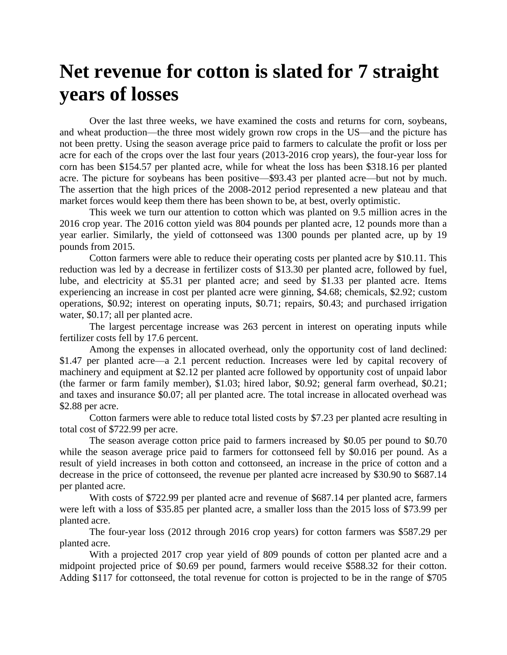## **Net revenue for cotton is slated for 7 straight years of losses**

Over the last three weeks, we have examined the costs and returns for corn, soybeans, and wheat production—the three most widely grown row crops in the US—and the picture has not been pretty. Using the season average price paid to farmers to calculate the profit or loss per acre for each of the crops over the last four years (2013-2016 crop years), the four-year loss for corn has been \$154.57 per planted acre, while for wheat the loss has been \$318.16 per planted acre. The picture for soybeans has been positive—\$93.43 per planted acre—but not by much. The assertion that the high prices of the 2008-2012 period represented a new plateau and that market forces would keep them there has been shown to be, at best, overly optimistic.

This week we turn our attention to cotton which was planted on 9.5 million acres in the 2016 crop year. The 2016 cotton yield was 804 pounds per planted acre, 12 pounds more than a year earlier. Similarly, the yield of cottonseed was 1300 pounds per planted acre, up by 19 pounds from 2015.

Cotton farmers were able to reduce their operating costs per planted acre by \$10.11. This reduction was led by a decrease in fertilizer costs of \$13.30 per planted acre, followed by fuel, lube, and electricity at \$5.31 per planted acre; and seed by \$1.33 per planted acre. Items experiencing an increase in cost per planted acre were ginning, \$4.68; chemicals, \$2.92; custom operations, \$0.92; interest on operating inputs, \$0.71; repairs, \$0.43; and purchased irrigation water, \$0.17; all per planted acre.

The largest percentage increase was 263 percent in interest on operating inputs while fertilizer costs fell by 17.6 percent.

Among the expenses in allocated overhead, only the opportunity cost of land declined: \$1.47 per planted acre—a 2.1 percent reduction. Increases were led by capital recovery of machinery and equipment at \$2.12 per planted acre followed by opportunity cost of unpaid labor (the farmer or farm family member), \$1.03; hired labor, \$0.92; general farm overhead, \$0.21; and taxes and insurance \$0.07; all per planted acre. The total increase in allocated overhead was \$2.88 per acre.

Cotton farmers were able to reduce total listed costs by \$7.23 per planted acre resulting in total cost of \$722.99 per acre.

The season average cotton price paid to farmers increased by \$0.05 per pound to \$0.70 while the season average price paid to farmers for cottonseed fell by \$0.016 per pound. As a result of yield increases in both cotton and cottonseed, an increase in the price of cotton and a decrease in the price of cottonseed, the revenue per planted acre increased by \$30.90 to \$687.14 per planted acre.

With costs of \$722.99 per planted acre and revenue of \$687.14 per planted acre, farmers were left with a loss of \$35.85 per planted acre, a smaller loss than the 2015 loss of \$73.99 per planted acre.

The four-year loss (2012 through 2016 crop years) for cotton farmers was \$587.29 per planted acre.

With a projected 2017 crop year yield of 809 pounds of cotton per planted acre and a midpoint projected price of \$0.69 per pound, farmers would receive \$588.32 for their cotton. Adding \$117 for cottonseed, the total revenue for cotton is projected to be in the range of \$705